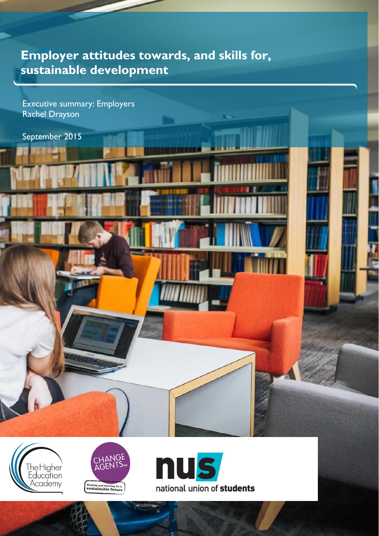# **Employer attitudes towards, and skills for, sustainable development**

Executive summary: Employers Rachel Drayson

September 2015





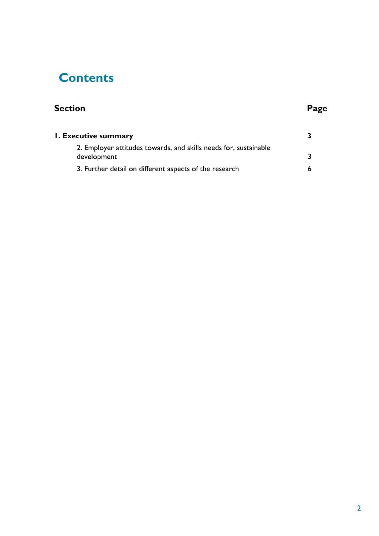# **Contents**

# **Section Page**

| <b>1. Executive summary</b>                                                     |  |
|---------------------------------------------------------------------------------|--|
| 2. Employer attitudes towards, and skills needs for, sustainable<br>development |  |
| 3. Further detail on different aspects of the research                          |  |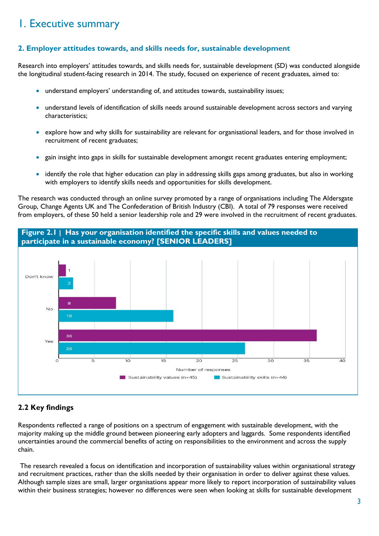## <span id="page-2-0"></span>1. Executive summary

## <span id="page-2-1"></span>**2. Employer attitudes towards, and skills needs for, sustainable development**

Research into employers' attitudes towards, and skills needs for, sustainable development (SD) was conducted alongside the longitudinal student-facing research in 2014. The study, focused on experience of recent graduates, aimed to:

- understand employers' understanding of, and attitudes towards, sustainability issues;
- understand levels of identification of skills needs around sustainable development across sectors and varying characteristics;
- explore how and why skills for sustainability are relevant for organisational leaders, and for those involved in recruitment of recent graduates;
- gain insight into gaps in skills for sustainable development amongst recent graduates entering employment;
- identify the role that higher education can play in addressing skills gaps among graduates, but also in working with employers to identify skills needs and opportunities for skills development.

The research was conducted through an online survey promoted by a range of organisations including The Aldersgate Group, Change Agents UK and The Confederation of British Industry (CBI). A total of 79 responses were received from employers, of these 50 held a senior leadership role and 29 were involved in the recruitment of recent graduates.



## **2.2 Key findings**

Respondents reflected a range of positions on a spectrum of engagement with sustainable development, with the majority making up the middle ground between pioneering early adopters and laggards. Some respondents identified uncertainties around the commercial benefits of acting on responsibilities to the environment and across the supply chain.

The research revealed a focus on identification and incorporation of sustainability values within organisational strategy and recruitment practices, rather than the skills needed by their organisation in order to deliver against these values. Although sample sizes are small, larger organisations appear more likely to report incorporation of sustainability values within their business strategies; however no differences were seen when looking at skills for sustainable development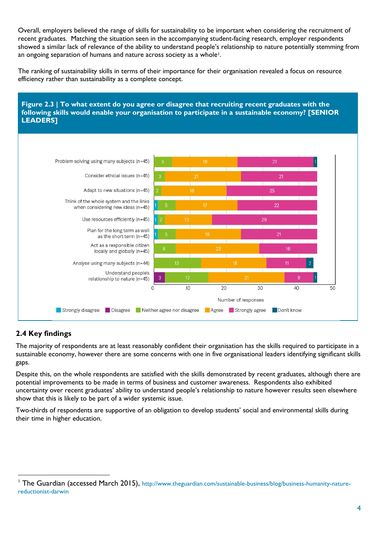Overall, employers believed the range of skills for sustainability to be important when considering the recruitment of recent graduates. Matching the situation seen in the accompanying student-facing research, employer respondents showed a similar lack of relevance of the ability to understand people's relationship to nature potentially stemming from an ongoing separation of humans and nature across society as a whole<sup>1</sup>.

The ranking of sustainability skills in terms of their importance for their organisation revealed a focus on resource efficiency rather than sustainability as a complete concept.



## **2.4 Key findings**

l

The majority of respondents are at least reasonably confident their organisation has the skills required to participate in a sustainable economy, however there are some concerns with one in five organisational leaders identifying significant skills gaps.

Despite this, on the whole respondents are satisfied with the skills demonstrated by recent graduates, although there are potential improvements to be made in terms of business and customer awareness. Respondents also exhibited uncertainty over recent graduates' ability to understand people's relationship to nature however results seen elsewhere show that this is likely to be part of a wider systemic issue.

Two-thirds of respondents are supportive of an obligation to develop students' social and environmental skills during their time in higher education.

The Guardian (accessed March 2015), [http://www.theguardian.com/sustainable-business/blog/business-humanity-nature](http://www.theguardian.com/sustainable-business/blog/business-humanity-nature-reductionist-darwin)[reductionist-darwin](http://www.theguardian.com/sustainable-business/blog/business-humanity-nature-reductionist-darwin)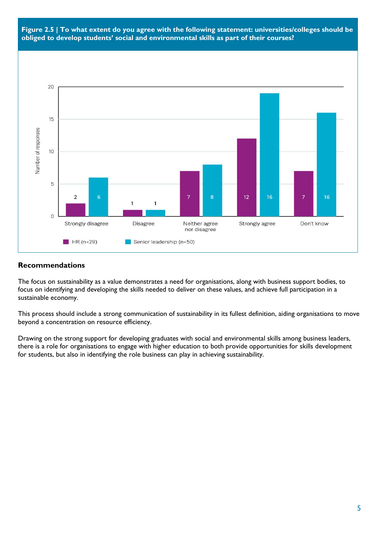



#### **Recommendations**

The focus on sustainability as a value demonstrates a need for organisations, along with business support bodies, to focus on identifying and developing the skills needed to deliver on these values, and achieve full participation in a sustainable economy.

This process should include a strong communication of sustainability in its fullest definition, aiding organisations to move beyond a concentration on resource efficiency.

Drawing on the strong support for developing graduates with social and environmental skills among business leaders, there is a role for organisations to engage with higher education to both provide opportunities for skills development for students, but also in identifying the role business can play in achieving sustainability.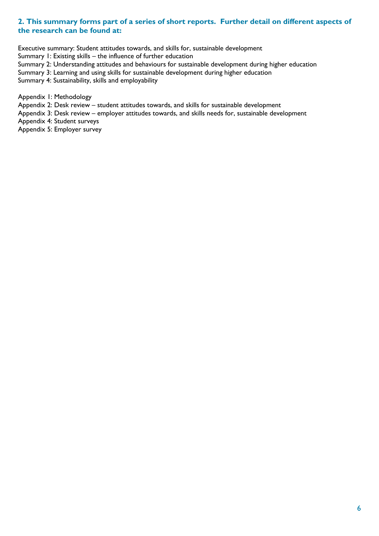### <span id="page-5-0"></span>**2. This summary forms part of a series of short reports. Further detail on different aspects of the research can be found at:**

Executive summary: Student attitudes towards, and skills for, sustainable development

Summary 1: Existing skills – the influence of further education

Summary 2: Understanding attitudes and behaviours for sustainable development during higher education

Summary 3: Learning and using skills for sustainable development during higher education

Summary 4: Sustainability, skills and employability

Appendix 1: Methodology

Appendix 2: Desk review – student attitudes towards, and skills for sustainable development

Appendix 3: Desk review – employer attitudes towards, and skills needs for, sustainable development

Appendix 4: Student surveys

Appendix 5: Employer survey